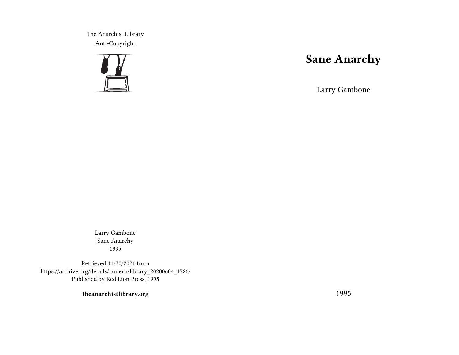The Anarchist Library Anti-Copyright



# **Sane Anarchy**

Larry Gambone

Larry Gambone Sane Anarchy 1995

Retrieved 11/30/2021 from https://archive.org/details/lantern-library\_20200604\_1726/ Published by Red Lion Press, 1995

**theanarchistlibrary.org**

1995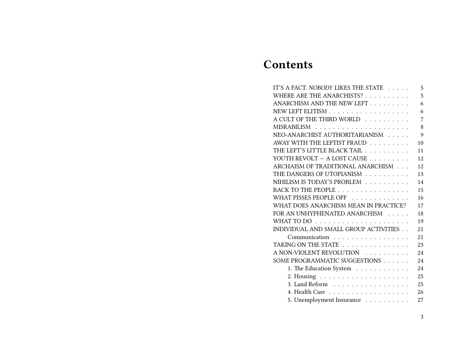# **Contents**

| IT'S A FACT. NOBODY LIKES THE STATE                           | 5              |
|---------------------------------------------------------------|----------------|
| WHERE ARE THE ANARCHISTS?                                     | 5              |
| ANARCHISM AND THE NEW LEFT                                    | 6              |
|                                                               | 6              |
| A CULT OF THE THIRD WORLD                                     | $\overline{7}$ |
|                                                               | 8              |
| NEO-ANARCHIST AUTHORITARIANISM                                | 9              |
| AWAY WITH THE LEFTIST FRAUD                                   | 10             |
| THE LEFT'S LITTLE BLACK TAIL                                  | 11             |
| YOUTH REVOLT - A LOST CAUSE                                   | 12             |
| ARCHAISM OF TRADITIONAL ANARCHISM                             | 12             |
| THE DANGERS OF UTOPIANISM                                     | 13             |
| NIHILISM IS TODAY'S PROBLEM                                   | 14             |
| BACK TO THE PEOPLE                                            | 15             |
| WHAT PISSES PEOPLE OFF                                        | 16             |
| WHAT DOES ANARCHISM MEAN IN PRACTICE?                         | 17             |
| FOR AN UNHYPHENATED ANARCHISM                                 | 18             |
| WHAT TO DO $\ldots \ldots \ldots \ldots \ldots \ldots \ldots$ | 19             |
| INDIVIDUAL AND SMALL GROUP ACTIVITIES                         | 21             |
| Communication                                                 | 21             |
| TAKING ON THE STATE                                           | 23             |
| A NON-VIOLENT REVOLUTION                                      | 24             |
| SOME PROGRAMMATIC SUGGESTIONS                                 | 24             |
| 1. The Education System                                       | 24             |
|                                                               | 25             |
| 3. Land Reform                                                | 25             |
|                                                               | 26             |
| 5. Unemployment Insurance                                     | 27             |
|                                                               |                |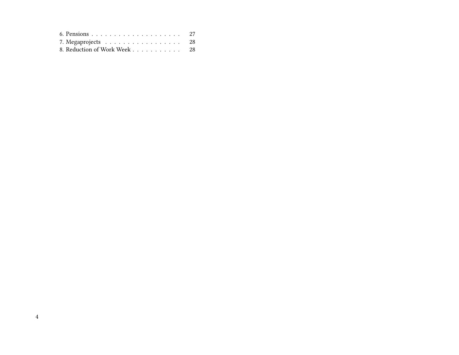| 7. Megaprojects $\ldots \ldots \ldots \ldots \ldots$ 28 |  |
|---------------------------------------------------------|--|
| 8. Reduction of Work Week 28                            |  |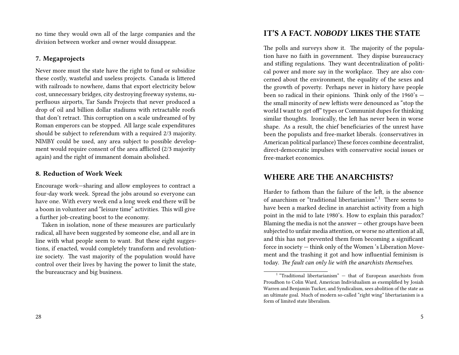no time they would own all of the large companies and the division between worker and owner would dissappear.

### **7. Megaprojects**

Never more must the state have the right to fund or subsidize these costly, wasteful and useless projects. Canada is littered with railroads to nowhere, dams that export electricity below cost, unnecessary bridges, city destroying freeway systems, superfluous airports, Tar Sands Projects that never produced a drop of oil and billion dollar stadiums with retractable roofs that don't retract. This corruption on a scale undreamed of by Roman emperors can be stopped. All large scale expenditures should be subject to referendum with a required 2/3 majority. NIMBY could be used, any area subject to possible development would require consent of the area afflicted (2/3 majority again) and the right of immanent domain abolished.

### **8. Reduction of Work Week**

Encourage work—sharing and allow employees to contract a four-day work week. Spread the jobs around so everyone can have one. With every week end a long week end there will be a boom in volunteer and "leisure time" activities. This will give a further job-creating boost to the economy.

Taken in isolation, none of these measures are particularly radical, all have been suggested by someone else, and all are in line with what people seem to want. But these eight suggestions, if enacted, would completely transform and revolutionize society. The vast majority of the population would have control over their lives by having the power to limit the state, the bureaucracy and big business.

# **IT'S A FACT.** *NOBODY* **LIKES THE STATE**

The polls and surveys show it. The majority of the population have no faith in government. They dispise bureaucracy and stifling regulations. They want decentralization of political power and more say in the workplace. They are also concerned about the environment, the equality of the sexes and the growth of poverty. Perhaps never in history have people been so radical in their opinions. Think only of the 1960's the small minority of new leftists were denounced as "stop the world I want to get of" types or Communist dupes for thinking similar thoughts. Ironically, the left has never been in worse shape. As a result, the chief beneficiaries of the unrest have been the populists and free-market liberals. (conservatives in American political parlance) These forces combine decentralist, direct-democratic impulses with conservative social issues or free-market economics.

# **WHERE ARE THE ANARCHISTS?**

Harder to fathom than the failure of the left, is the absence of anarchism or "traditional libertarianism".<sup>1</sup> There seems to have been a marked decline in anarchist activity from a high point in the mid to late 1980's. How to explain this paradox? Blaming the media is not the answer  $-$  other groups have been subjected to unfair media attention, or worse no attention at all, and this has not prevented them from becoming a significant force in society — think only of the Women 's Liberation Movement and the trashing it got and how influential feminism is today. *The fault can only lie with the anarchists themselves*.

 $1$  "Traditional libertarianism"  $-$  that of European anarchists from Proudhon to Colin Ward, American Individualism as exemplified by Josiah Warren and Benjamin Tucker, and Syndicalism, sees abolition of the state as an ultimate goal. Much of modern so-called "right wing" libertarianism is a form of limited state liberalism.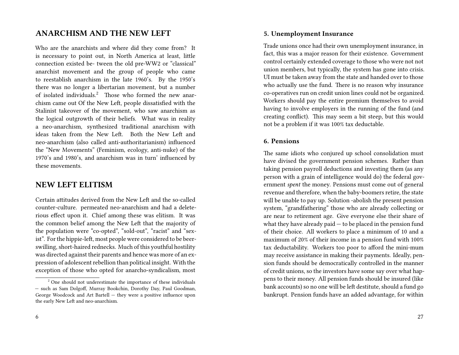# **ANARCHISM AND THE NEW LEFT**

Who are the anarchists and where did they come from? It is necessary to point out, in North America at least, little connection existed be- tween the old pre-WW2 or "classical" anarchist movement and the group of people who came to reestablish anarchism in the late 1960's. By the 1950's there was no longer a libertarian movement, but a number of isolated individuals.<sup>2</sup> Those who formed the new anarchism came out Of the New Left, people dissatisfied with the Stalinist takeover of the movement, who saw anarchism as the logical outgrowth of their beliefs. What was in reality a neo-anarchism, synthesized traditional anarchism with ideas taken from the New Left. Both the New Left and neo-anarchism (also called anti-authoritarianism) influenced the "New Movements" (Feminism, ecology, anti-nuke) of the 1970's and 1980's, and anarchism was in turn' influenced by these movements.

### **NEW LEFT ELITISM**

Certain attitudes derived from the New Left and the so-called counter-culture. permeated neo-anarchism and had a deleterious effect upon it. Chief among these was elitism. It was the common belief among the New Left that the majority of the population were "co-opted", "sold-out", "racist" and "sexist". For the hippie-left, most people were considered to be beerswilling, short-haired rednecks. Much of this youthful hostility was directed against their parents and hence was more of an expression of adolescent rebellion than political insight. With the exception of those who opted for anarcho-syndicalism, most

#### **5. Unemployment Insurance**

Trade unions once had their own unemployment insurance, in fact, this was a major reason for their existence. Government control certainly extended coverage to those who were not not union members, but typically, the system has gone into crisis. UI must be taken away from the state and handed over to those who actually use the fund. There is no reason why insurance co-operatives run on credit union lines could not be organized. Workers should pay the entire premium themselves to avoid having to involve employers in the running of the fund (and creating conflict). This may seem a bit steep, but this would not be a problem if it was 100% tax deductable.

### **6. Pensions**

The same idiots who conjured up school consolidation must have divised the government pension schemes. Rather than taking pension payroll deductions and investing them (as any person with a grain of intelligence would do) the federal government *spent* the money. Pensions must come out of general revenue and therefore, when the baby-boomers retire, the state will be unable to pay up. Solution -abolish the present pension system, "grandfathering" those who are already collecting or are near to retirement age. Give everyone else their share of what they have already paid — to be placed in the pension fund of their choice. All workers to place a minimum of 10 and a maximum of 20% of their income in a pension fund with 100% tax deductability. Workers too poor to afford the mini-mum may receive assistance in making their payments. Ideally, pension funds should be democratically controlled in the manner of credit unions, so the investors have some say over what happens to their money. All pension funds should be insured (like bank accounts) so no one will be left destitute, should a fund go bankrupt. Pension funds have an added advantage, for within

<sup>&</sup>lt;sup>2</sup> One should not underestimate the importance of these individuals — such as Sam Dolgoff, Murray Bookchin, Dorothy Day, Paul Goodman, George Woodcock and Art Bartell — they were a positive influence upon the early New Left and neo-anarchism.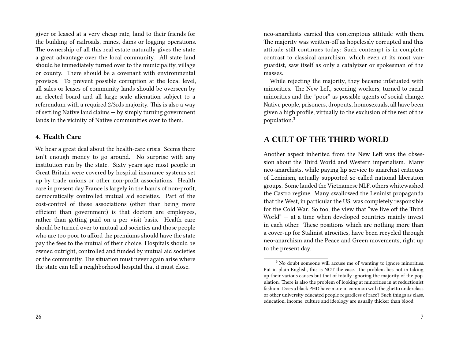giver or leased at a very cheap rate, land to their friends for the building of railroads, mines, dams or logging operations. The ownership of all this real estate naturally gives the state a great advantage over the local community. All state land should be immediately turned over to the municipality, village or county. There should be a covenant with environmental provisos. To prevent possible corruption at the local level, all sales or leases of community lands should be overseen by an elected board and all large-scale alienation subject to a referendum with a required 2/3rds majority. This is also a way of settling Native land claims — by simply turning government lands in the vicinity of Native communities over to them.

### **4. Health Care**

We hear a great deal about the health-care crisis. Seems there isn't enough money to go around. No surprise with any institution run by the state. Sixty years ago most people in Great Britain were covered by hospital insurance systems set up by trade unions or other non-profit associations. Health care in present day France is largely in the hands of non-profit, democratically controlled mutual aid societies. Part of the cost-control of these associations (other than being more efficient than government) is that doctors are employees, rather than getting paid on a per visit basis. Health care should be turned over to mutual aid societies and those people who are too poor to afford the premiums should have the state pay the fees to the mutual of their choice. Hospitals should be owned outright, controlled and funded by mutual aid societies or the community. The situation must never again arise where the state can tell a neighborhood hospital that it must close.

neo-anarchists carried this contemptous attitude with them. The majority was written-off as hopelessly corrupted and this attitude still continues today; Such contempt is in complete contrast to classical anarchism, which even at its most vanguardist, saw itself as only a catalyizer or spokesman of the masses.

While rejecting the majority, they became infatuated with minorities. The New Left, scorning workers, turned to racial minorities and the "poor" as possible agents of social change. Native people, prisoners, dropouts, homosexuals, all have been given a high profile, virtually to the exclusion of the rest of the population.<sup>3</sup>

## **A CULT OF THE THIRD WORLD**

Another aspect inherited from the New Left was the obsession about the Third World and Western imperialism. Many neo-anarchists, while paying lip service to anarchist critiques of Leninism, actually supported so-called national liberation groups. Some lauded the Vietnamese NLF, others whitewashed the Castro regime. Many swallowed the Leninist propaganda that the West, in particular the US, was completely responsible for the Cold War. So too, the view that "we live off the Third World" — at a time when developed countries mainly invest in each other. These positions which are nothing more than a cover-up for Stalinist atrocities, have been recycled through neo-anarchism and the Peace and Green movements, right up to the present day.

<sup>&</sup>lt;sup>3</sup> No doubt someone will accuse me of wanting to ignore minorities. Put in plain English, this is NOT the case. The problem lies not in taking up their various causes but that of totally ignoring the majority of the population. There is also the problem of looking at minorities in at reductionist fashion. Does a black PHD have more in common with the ghetto underclass or other university educated people regardless of race? Such things as class, education, income, culture and ideology are usually thicker than blood.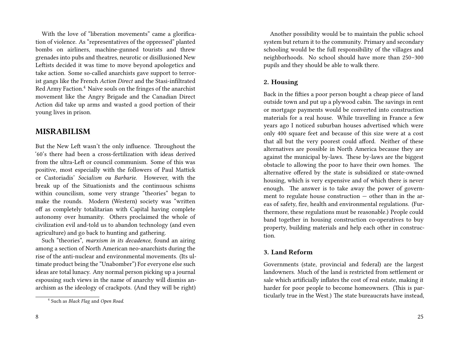With the love of "liberation movements" came a glorification of violence. As "representatives of the oppressed" planted bombs on airliners, machine-gunned tourists and threw grenades into pubs and theatres, neurotic or disillusioned New Leftists decided it was time to move beyond apologetics and take action. Some so-called anarchists gave support to terrorist gangs like the French *Action Direct* and the Stasi-infiltrated Red Army Faction.<sup>4</sup> Naive souls on the fringes of the anarchist movement like the Angry Brigade and the Canadian Direct Action did take up arms and wasted a good portion of their young lives in prison.

# **MISRABILISM**

But the New Left wasn't the only influence. Throughout the '60's there had been a cross-fertilization with ideas derived from the ultra-Left or council communism. Some of this was positive, most especially with the followers of Paul Mattick or Castoriadis' *Socialism ou Barbarie*. However, with the break up of the Situationists and the continuous schisms within councilism, some very strange "theories" began to make the rounds. Modern (Western) society was "written off as completely totalitarian with Capital having complete autonomy over humanity. Others proclaimed the whole of civilization evil and-told us to abandon technology (and even agriculture) and go back to hunting and gathering.

Such "theories", *marxism in its decadence*, found an airing among a section of North American neo-anarchists during the rise of the anti-nuclear and environmental movements. (Its ultimate product being the "Unabomber") For everyone else such ideas are total lunacy. Any normal person picking up a journal espousing such views in the name of anarchy will dismiss anarchism as the ideology of crackpots. (And they will be right)

Another possibility would be to maintain the public school system but return it to the community. Primary and secondary schooling would be the full responsibility of the villages and neighborhoods. No school should have more than 250–300 pupils and they should be able to walk there.

#### **2. Housing**

Back in the fifties a poor person bought a cheap piece of land outside town and put up a plywood cabin. The savings in rent or mortgage payments would be converted into construction materials for a real house. While travelling in France a few years ago I noticed suburban houses advertised which were only 400 square feet and because of this size were at a cost that all but the very poorest could afford. Neither of these alternatives are possible in North America because they are against the municipal by-laws. These by-laws are the biggest obstacle to allowing the poor to have their own homes. The alternative offered by the state is subsidized or state-owned housing, which is very expensive and of which there is never enough. The answer is to take away the power of government to regulate house construction — other than in the areas of safety, fire, health and environmental regulations. (Furthermore, these regulations must be reasonable.) People could band together in housing construction co-operatives to buy property, building materials and help each other in construction.

#### **3. Land Reform**

Governments (state, provincial and federal) are the largest landowners. Much of the land is restricted from settlement or sale which artificially inflates the cost of real estate, making it harder for poor people to become homeowners. (This is particularly true in the West.) The state bureaucrats have instead,

<sup>4</sup> Such as *Black Flag* and *Open Road*.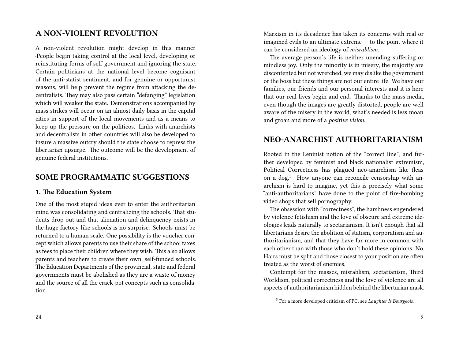# **A NON-VIOLENT REVOLUTION**

A non-violent revolution might develop in this manner -People begin taking control at the local level, developing or reinstituting forms of self-government and ignoring the state. Certain politicians at the national level become cognisant of the anti-statist sentiment, and for genuine or opportunist reasons, will help prevent the regime from attacking the decentralists. They may also pass certain "defanging" legislation which will weaker the state. Demonstrations accompanied by mass strikes will occur on an almost daily basis in the capital cities in support of the local movements and as a means to keep up the pressure on the politicos. Links with anarchists and decentralists in other countries will also be developed to insure a massive outcry should the state choose to repress the libertarian upsurge. The outcome will be the development of genuine federal institutions.

# **SOME PROGRAMMATIC SUGGESTIONS**

### **1. The Education System**

One of the most stupid ideas ever to enter the authoritarian mind was consolidating and centralizing the schools. That students drop out and that alienation and delinquency exists in the huge factory-like schools is no surprise. Schools must be returned to a human scale. One possibility is the voucher concept which allows parents to use their share of the school taxes as fees to place their children where they wish. This also allows parents and teachers to create their own, self-funded schools. The Education Departments of the provincial, state and federal governments must be abolished as they are a waste of money and the source of all the crack-pot concepts such as consolidation.

24

Marxism in its decadence has taken its concerns with real or imagined evils to an ultimate extreme — to the point where it can be considered an ideology of *misrablism*.

The average person's life is neither unending suffering or mindless joy. Only the minority is in misery, the majority are discontented but not wretched, we may dislike the government or the boss but these things are not our entire life. We have our families, our friends and our personal interests and it is here that our real lives begin and end. Thanks to the mass media, even though the images are greatly distorted, people are well aware of the misery in the world, what's needed is less moan and groan and more of a *positive vision*.

# **NEO-ANARCHIST AUTHORITARIANISM**

Rooted in the Leninist notion of the "correct line", and further developed by feminist and black nationalist extremism, Political Correctness has plagued neo-anarchism like fleas on a dog.<sup>5</sup> How anyone can reconcile censorship with anarchism is hard to imagine, yet this is precisely what some "anti-authoritarians" have done to the point of fire-bombing video shops that sell pornography.

The obsession with "correctness", the harshness engendered by violence fetishism and the love of obscure and extreme ideologies leads naturally to sectarianism. It isn't enough that all libertarians desire the abolition of statism, corporatism and authoritarianism, and that they have far more in common with each other than with those who don't hold these opinions. No. Hairs must be split and those closest to your position are often treated as the worst of enemies.

Contempt for the masses, misrablism, sectarianism, Third Worldism, political correctness and the love of violence are all aspects of authoritarianism hidden behind the libertarian mask.

<sup>5</sup> For a more developed criticism of PC, see *Laughter Is Bourgeois*.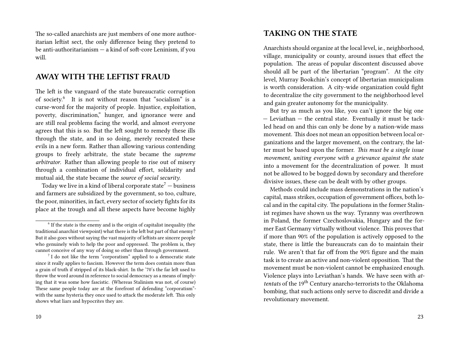The so-called anarchists are just members of one more authoritarian leftist sect, the only difference being they pretend to be anti-authoritarianism — a kind of soft-core Leninism, if you will.

# **AWAY WITH THE LEFTIST FRAUD**

The left is the vanguard of the state bureaucratic corruption of society.<sup>6</sup> It is not without reason that "socialism" is a curse-word for the majority of people. Injustice, exploitation, poverty, discrimination," hunger, and ignorance were and are still real problems facing the world, and almost everyone agrees that this is so. But the left sought to remedy these ills through the state, and in so doing, merely recreated these evils in a new form. Rather than allowing various contending groups to freely arbitrate, the state became the *supreme arbitrator*. Rather than allowing people to rise out of misery through a combination of individual effort, solidarity and mutual aid, the state became the *source of social security*.

Today we live in a kind of liberal corporate state<sup>7</sup> — business and farmers are subsidized by the government, so too, culture, the poor, minorities, in fact, every sector of society fights for its place at the trough and all these aspects have become highly

# **TAKING ON THE STATE**

Anarchists should organize at the local level, ie., neighborhood, village, municipality or county, around issues that effect the population. The areas of popular discontent discussed above should all be part of the libertarian "program". At the city level, Murray Bookchin's concept of libertarian municipalism is worth consideration. A city-wide organization could fight to decentralize the city government to the neighborhood level and gain greater autonomy for the municipality.

But try as much as you like, you can't ignore the big one — Leviathan — the central state. Eventually it must be tackled head on and this can only be done by a nation-wide mass movement. This does not mean an opposition between local organizations and the larger movement, on the contrary, the latter must be based upon the former. *This must be a single issue movement, uniting everyone with a grievance against the state* into a movement for the decentralization of power. It must not be allowed to be bogged down by secondary and therefore divisive issues, these can be dealt with by other groups.

Methods could include mass demonstrations in the nation's capital, mass strikes, occupation of government offices, both local and in the capital city. The populations in the former Stalinist regimes have shown us the way. Tyranny was overthrown in Poland, the former Czechoslovakia, Hungary and the former East Germany virtually without violence. This proves that if more than 90% of the population is actively opposed to the state, there is little the bureaucrats can do to maintain their rule. We aren't that far off from the 90% figure and the main task is to create an active and non-violent opposition. That the movement must be non-violent cannot be emphasized enough. Violence plays into Leviathan's hands. We have seen with *attentats* of the 19<sup>th</sup> Century anarcho-terrorists to the Oklahoma bombing, that such actions only serve to discredit and divide a revolutionary movement.

 $6$  If the state is the enemy and is the origin of capitalist inequality (the traditional anarchist viewpoint) what there is the left but part of that enemy? But it also goes without saying the vast majority of leftists are sincere people who genuinely wish to help the poor and oppressed. The problem is, they cannot conceive of any way of doing so other than through government.

 $7$  I do not like the term "corporatism" applied to a democratic state since it really applies to fascism. However the term does contain more than a grain of truth if stripped of its black-shirt. In the '70's the far left used to throw the word around in reference to social democracy as a means of implying that it was some how fascistic. (Whereas Stalinism was not, of course) These same people today are at the forefront of defending "corporatism" with the same hysteria they once used to attack the moderate left. This only shows what liars and hypocrites they are.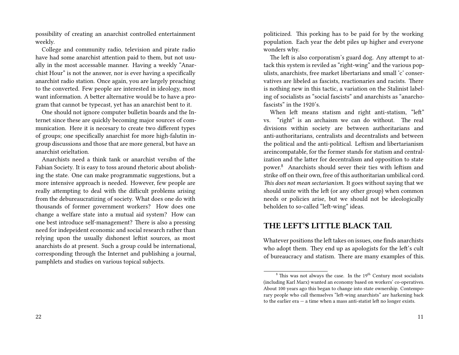possibility of creating an anarchist controlled entertainment weekly.

College and community radio, television and pirate radio have had some anarchist attention paid to them, but not usually in the most accessable manner. Having a weekly "Anarchist Hour" is not the answer, nor is ever having a specifically anarchist radio station. Once again, you are largely preaching to the converted. Few people are interested in ideology, most want information. A better alternative would be to have a program that cannot be typecast, yet has an anarchist bent to it.

One should not ignore computer bulletin boards and the Internet since these are quickly becoming major sources of communication. Here it is necesary to create two different types of groups; one specifically anarchist for more high-falutin ingroup discussions and those that are more general, but have an anarchist orieltation.

Anarchists need a think tank or anarchist versibn of the Fabian Society. It is easy to toss around rhetoric about abolishing the state. One can make programmatic suggestions, but a more intensive approach is needed. However, few people are really attempting to deal with the diflicult problems arising from the debureaucratizing of society. What does one do with thousands of former government workers? How does one change a welfare state into a mutual aid system? How can one best introduce self-management? There is also a pressing need for indepeident economic and social research rather than relying upon the usually dishonest leftist sources, as most anarchists do at present. Such a group could be international, corresponding through the Internet and publishing a journal, pamphlets and studies on various topical subjects.

politicized. This porking has to be paid for by the working population. Each year the debt piles up higher and everyone wonders why.

The left is also corporatism's guard dog. Any attempt to attack this system is reviled as "right-wing" and the various populists, anarchists, free market libertarians and small 'c' conservatives are libeled as fascists, reactionaries and racists. There is nothing new in this tactic, a variation on the Stalinist labeling of socialists as "social fascists" and anarchists as "anarchofascists" in the 1920's.

When left means statism and right anti-statism, "left" vs. "right" is an archaism we can do without. The real divisions within society are between authoritarians and anti-authoritarians, centralists and decentralists and between the political and the anti-political. Leftism and libertarianism areincompatable, for the former stands for statism and centralization and the latter for decentralism and opposition to state power.<sup>8</sup> Anarchists should sever their ties with leftism and strike off on their own, free of this authoritarian umbilical cord. *This does not mean sectarianism*. It goes without saying that we should unite with the left (or any other group) when common needs or policies arise, but we should not be ideologically beholden to so-called "left-wing" ideas.

# **THE LEFT'S LITTLE BLACK TAIL**

Whatever positions the left takes on issues, one finds anarchists who adopt them. They end up as apologists for the left's cult of bureaucracy and statism. There are many examples of this.

 $8$  This was not always the case. In the 19<sup>th</sup> Century most socialists (including Karl Marx) wanted an economy based on workers' co-operatives. About 100 years ago this began to change into state ownership. Contemporary people who call themselves "left-wing anarchists" are harkening back to the earlier  $era - a$  time when a mass anti-statist left no longer exists.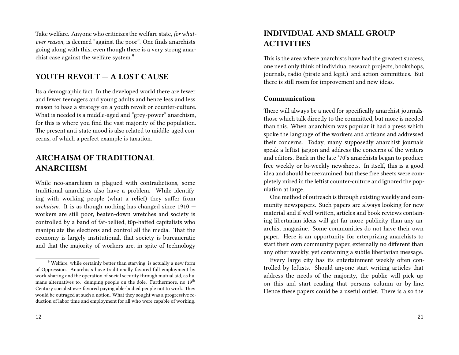Take welfare. Anyone who criticizes the welfare state, *for whatever reason*, is deemed "against the poor". One finds anarchists going along with this, even though there is a very strong anarchist case against the welfare system.<sup>9</sup>

# **YOUTH REVOLT — A LOST CAUSE**

Its a demographic fact. In the developed world there are fewer and fewer teenagers and young adults and hence less and less reason to base a strategy on a youth revolt or counter-culture. What is needed is a middle-aged and "grey-power" anarchism, for this is where you find the vast majority of the population. The present anti-state mood is also related to middle-aged concerns, of which a perfect example is taxation.

# **ARCHAISM OF TRADITIONAL ANARCHISM**

While neo-anarchism is plagued with contradictions, some traditional anarchists also have a problem. While identifying with working people (what a relief) they suffer from *archaism*. It is as though nothing has changed since 1910 workers are still poor, beaten-down wretches and society is controlled by a band of fat-bellied, t0p-hatted capitalists who manipulate the elections and control all the media. That the economy is largely institutional, that society is bureaucratic and that the majority of workers are, in spite of technology

# **INDIVIDUAL AND SMALL GROUP ACTIVITIES**

This is the area where anarchists have had the greatest success, one need only think of individual research projects, bookshops, journals, radio (pirate and legit.) and action committees. But there is still room for improvement and new ideas.

#### **Communication**

There will always be a need for specifically anarchist journalsthose which talk directly to the committed, but more is needed than this. When anarchism was popular it had a press which spoke the language of the workers and artisans and addressed their concerns. Today, many supposedly anarchist journals speak a leftist jargon and address the concerns of the writers and editors. Back in the late '70's anarchists began to produce free weekly or bi-weekly newsheets. In itself, this is a good idea and should be reexamined, but these free sheets were completely mired in the leftist counter-culture and ignored the population at large.

One method of outreach is through existing weekly and community newspapers. Such papers are always looking for new material and if well written, articles and book reviews containing libertarian ideas will get far more publicity than any anarchist magazine. Some communities do not have their own paper. Here is an opportunity for erterprizing anarchists to start their own community paper, externally no different than any other weekly, yet containing a subtle libertarian message.

Every large city has its entertainment weekly often controlled by leftists. Should anyone start writing articles that address the needs of the majority, the public will pick up on this and start reading that persons column or by-line. Hence these papers could be a useful outlet. There is also the

<sup>&</sup>lt;sup>9</sup> Welfare, while certainly better than starving, is actually a new form of Oppression. Anarchists have traditionally favored full employment by work-sharing and the operation of social security through mutual aid, as humane alternatives to. dumping people on the dole. Furthermore, no 19<sup>th</sup> Century socialist *ever* favored paying able-bodied people not to work. They would be outraged at such a notion. What they sought was a progressive reduction of labor time and employment for all who were capable of working.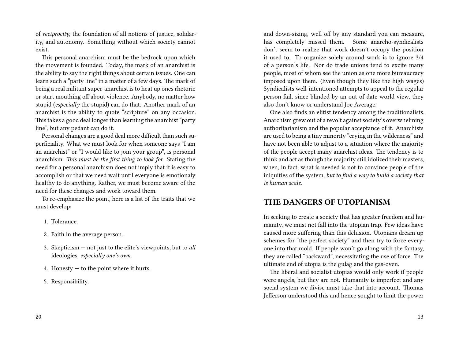of *reciprocity*, the foundation of all notions of justice, solidarity, and autonomy. Something without which society cannot exist.

This personal anarchism must be the bedrock upon which the movement is founded. Today, the mark of an anarchist is the ability to say the right things about certain issues. One can learn such a "party line" in a matter of a few days. The mark of being a real militant super-anarchist is to heat up ones rhetoric or start mouthing off about violence. Anybody, no matter how stupid (*especially* the stupid) can do that. Another mark of an anarchist is the ability to quote "scripture" on any occasion. This takes a good deal longer than learning the anarchist "party line", but any pedant can do it.

Personal changes are a good deal more difficult than such superficiality. What we must look for when someone says "I am an anarchist" or "I would like to join your group", is personal anarchism. *This must be the first thing to look for*. Stating the need for a personal anarchism does not imply that it is easy to accomplish or that we need wait until everyone is emotionaly healthy to do anything. Rather, we must become aware of the need for these changes and work toward them.

To re-emphasize the point, here is a list of the traits that we must develop:

- 1. Tolerance.
- 2. Faith in the average person.
- 3. Skepticism not just to the elite's viewpoints, but to *all* ideologies, *especially one's own*.
- 4. Honesty to the point where it hurts.
- 5. Responsibility.

and down-sizing, well off by any standard you can measure, has completely missed them. Some anarcho-syndicalists don't seem to realize that work doesn't occupy the position it used to. To organize solely around work is to ignore 3/4 of a person's life. Nor do trade unions tend to excite many people, most of whom see the union as one more bureaucracy imposed upon them. (Even though they like the high wages) Syndicalists well-intentioned attempts to appeal to the regular person fail, since blinded by an out-of-date world view, they also don't know or understand Joe Average.

One also finds an elitist tendency among the traditionalists. Anarchism grew out of a revolt against society's overwhelming authoritarianism and the popular acceptance of it. Anarchists are used to being a tiny minority "crying in the wilderness" and have not been able to adjust to a situation where the majority of the people accept many anarchist ideas. The tendency is to think and act as though the majority still idolized their masters, when, in fact, what is needed is not to convince people of the iniquities of the system, *but to find a way to build a society that is human scale*.

### **THE DANGERS OF UTOPIANISM**

In seeking to create a society that has greater freedom and humanity, we must not fall into the utopian trap. Few ideas have caused more suffering than this delusion. Utopians dream up schemes for "the perfect society" and then try to force everyone into that mold. If people won't go along with the fantasy, they are called "backward", necessitating the use of force. The ultimate end of utopia is the gulag and the gas-oven.

The liberal and socialist utopias would only work if people were angels, but they are not. Humanity is imperfect and any social system we divise must take that into account. Thomas Jefferson understood this and hence sought to limit the power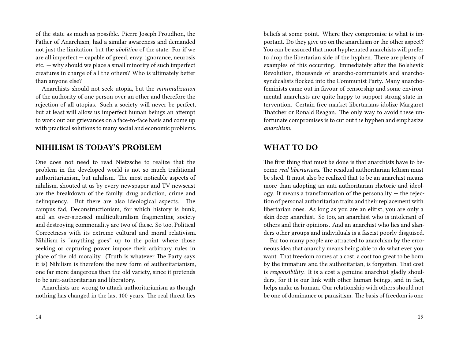of the state as much as possible. Pierre Joseph Proudhon, the Father of Anarchism, had a similar awareness and demanded not just the limitation, but the *abolition* of the state. For if we are all imperfect — capable of greed, envy, ignorance, neurosis etc. — why should we place a small minority of such imperfect creatures in charge of all the others? Who is ultimately better than anyone else?

Anarchists should not seek utopia, but the *minimalization* of the authority of one person over an other and therefore the rejection of all utopias. Such a society will never be perfect, but at least will allow us imperfect human beings an attempt to work out our grievances on a face-to-face basis and come up with practical solutions to many social and economic problems.

## **NIHILISM IS TODAY'S PROBLEM**

One does not need to read Nietzsche to realize that the problem in the developed world is not so much traditional authoritarianism, but nihilism. The most noticable aspects of nihilism, shouted at us by every newspaper and TV newscast are the breakdown of the family, drug addiction, crime and delinquency. But there are also ideological aspects. The campus fad, Deconstructionism, for which history is bunk, and an over-stressed multiculturalism fragmenting society and destroying commonality are two of these. So too, Political Correctness with its extreme cultural and moral relativism. Nihilism is "anything goes" up to the point where those seeking or capturing power impose their arbitrary rules in place of the old morality. (Truth is whatever The Party says it is) Nihilism is therefore the new form of authoritarianism, one far more dangerous than the old variety, since it pretends to be anti-authoritarian and liberatory.

Anarchists are wrong to attack authoritarianism as though nothing has changed in the last 100 years. The real threat lies beliefs at some point. Where they compromise is what is important. Do they give up on the anarchism or the other aspect? You can be assured that most hyphenated anarchists will prefer to drop the libertarian side of the hyphen. There are plenty of examples of this occurring. Immediately after the Bolshevik Revolution, thousands of anarcho-communists and anarchosyndicalists flocked into the Communist Party. Many anarchofeminists came out in favour of censorship and some environmental anarchists are quite happy to support strong state intervention. Certain free-market libertarians idolize Margaret Thatcher or Ronald Reagan. The only way to avoid these unfortunate compromises is to cut out the hyphen and emphasize *anarchism*.

# **WHAT TO DO**

The first thing that must be done is that anarchists have to become *real libertarians*. The residual authoritarian leftism must be shed. It must also be realized that to be an anarchist means more than adopting an anti-authoritarian rhetoric and ideology. It means a transformation of the personality — the rejection of personal authoritarian traits and their replacement with libertarian ones. As long as you are an elitist, you are only a skin deep anarchist. So too, an anarchist who is intolerant of others and their opinions. And an anarchist who lies and slanders other groups and individuals is a fascist poorly disguised.

Far too many people are attracted to anarchism by the erroneous idea that anarchy means being able to do what ever you want. That freedom comes at a cost, a cost too great to be born by the immature and the authoritarian, is forgotten. That cost is *responsibility*. It is a cost a genuine anarchist gladly shoulders, for it is our link with other human beings, and in fact, helps make us human. Our relationship with others should not be one of dominance or parasitism. The basis of freedom is one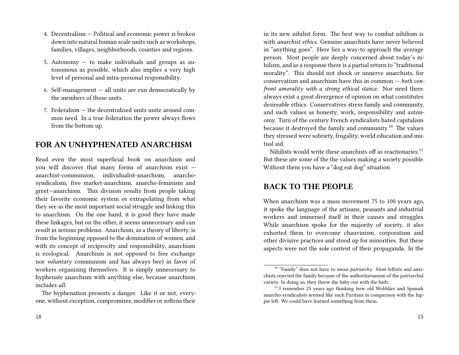- 4. Decentralism Political and economic power is broken down into natural human scale units such as workshops, families, villages, neighborhoods, counties and regions.
- 5. Autonomy to make individuals and groups as autonomous as possible, which also implies a very high level of personal and intra-personal responsibility.
- 6. Self-management all units are run democratically by the members of those units.
- 7. Federalism the decentralized units unite around common need. In a true federation the power always flows from the bottom up.

# **FOR AN UNHYPHENATED ANARCHISM**

Read even the most superficial book on anarchism and you will discover that many forms of anarchism exist anarchist-communism, individualist-anarchism, anarchosyndicalism, free market-anarchism, anarcho-feminism and greet—anarchism. This division results from people taking their favorite economic system or extrapolating from what they see as the most important social struggle and linking this to anarchism. On the one hand, it is good they have made these linkages, but on the other, it seems unnecessary and can result in serious problems. Anarchism, as a theory of liberty, is from the beginning opposed to the domination of women, and with its concept of reciprocity and responsibility, anarchism is ecological. Anarchism is not opposed to free exchange nor *voluntary* communism and has always bee) in favor of workers organizing themselves. It is simply unnecessary to hyphenate anarchism with anything else, because anarchism includes *all*.

in its new nihilist form. The best way to combat nihilism is with *anarchist ethics*. Genuine anarchists have never believed in "anything goes". Here lies a way-to approach the average person. Most people are deeply concerned about today's nihilism, and as a response there is a partial return to "traditional morality". This should not shock or unnerve anarchists, for conservatism and anarchism have this in common — *both confront amorality with a strong ethical stance*. Nor need there. always exist a great divergence of opinion on what constitutes desireable ethics. Conservatives stress family and community, and such values as honesty, work, responsibility and autonomy. Turn of the century French syndicalists hated capitalism because it destroyed the family and community.<sup>10</sup> The values they stressed were sobriety, frugality, world education and mutual aid.

Nihilists would write these anarchists off as reactionaries. $^{11}$ But these are some of the the values making a society possible. Without them you have a "dog eat dog" situation.

## **BACK TO THE PEOPLE**

When anarchism was a mass movement 75 to 100 years ago, it spoke the language of the artisans, peasants and industrial workers and immersed itself in their causes and struggles. While anarchism spoke for the majority of society, it also exhorted them to overcome chauvinism, corporatism and other divisive practices and stood up for minorities. But these aspects were not the sole content of their propaganda. In the

The hyphenation presents a danger. Like it or not, everyone, without exception, compromises, modifies or softens their

<sup>&</sup>lt;sup>10</sup> "Family" does not have to mean *patriarchy*. Most leftists and anarchists rejected the family because of the authoritarianism of the patriarchal variety. In doing so, they threw the baby out with the bath.

 $11$  I remember 25 years ago thinking how old Wobblies and Spanish anarcho-syndicalists seemed like such Puritans in comparison with the hippie left. We could have learned something from them.